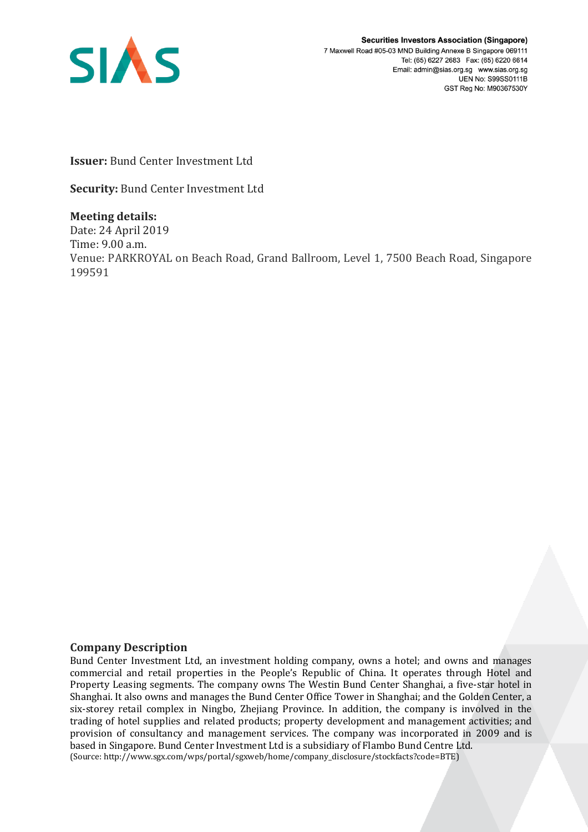

**Securities Investors Association (Singapore)** 7 Maxwell Road #05-03 MND Building Annexe B Singapore 069111 Tel: (65) 6227 2683 Fax: (65) 6220 6614 Email: admin@sias.org.sg www.sias.org.sg **UEN No: S99SS0111B** GST Reg No: M90367530Y

**Issuer:** Bund Center Investment Ltd

**Security:** Bund Center Investment Ltd

**Meeting details:**  Date: 24 April 2019 Time: 9.00 a.m. Venue: PARKROYAL on Beach Road, Grand Ballroom, Level 1, 7500 Beach Road, Singapore 199591

## **Company Description**

Bund Center Investment Ltd, an investment holding company, owns a hotel; and owns and manages commercial and retail properties in the People's Republic of China. It operates through Hotel and Property Leasing segments. The company owns The Westin Bund Center Shanghai, a five-star hotel in Shanghai. It also owns and manages the Bund Center Office Tower in Shanghai; and the Golden Center, a six-storey retail complex in Ningbo, Zhejiang Province. In addition, the company is involved in the trading of hotel supplies and related products; property development and management activities; and provision of consultancy and management services. The company was incorporated in 2009 and is based in Singapore. Bund Center Investment Ltd is a subsidiary of Flambo Bund Centre Ltd. (Source: http://www.sgx.com/wps/portal/sgxweb/home/company\_disclosure/stockfacts?code=BTE)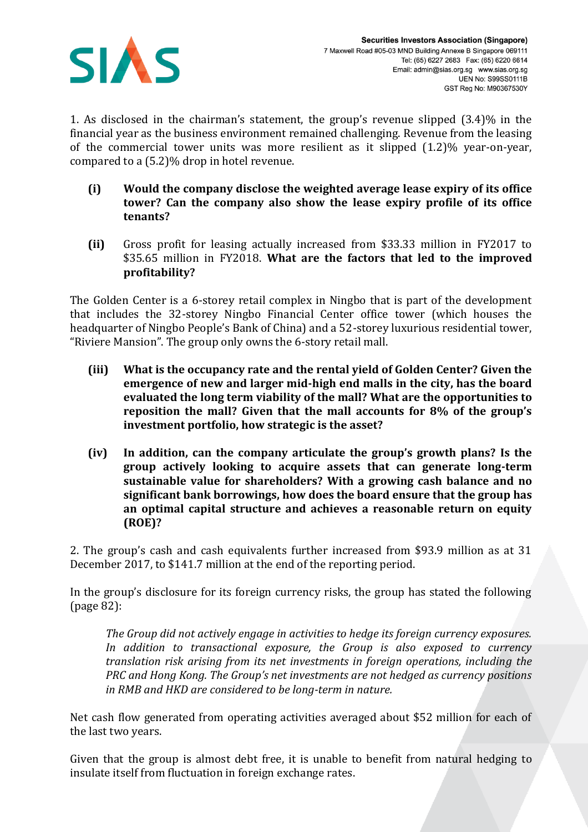

1. As disclosed in the chairman's statement, the group's revenue slipped (3.4)% in the financial year as the business environment remained challenging. Revenue from the leasing of the commercial tower units was more resilient as it slipped (1.2)% year-on-year, compared to a (5.2)% drop in hotel revenue.

- **(i) Would the company disclose the weighted average lease expiry of its office tower? Can the company also show the lease expiry profile of its office tenants?**
- **(ii)** Gross profit for leasing actually increased from \$33.33 million in FY2017 to \$35.65 million in FY2018. **What are the factors that led to the improved profitability?**

The Golden Center is a 6-storey retail complex in Ningbo that is part of the development that includes the 32-storey Ningbo Financial Center office tower (which houses the headquarter of Ningbo People's Bank of China) and a 52-storey luxurious residential tower, "Riviere Mansion". The group only owns the 6-story retail mall.

- **(iii) What is the occupancy rate and the rental yield of Golden Center? Given the emergence of new and larger mid-high end malls in the city, has the board evaluated the long term viability of the mall? What are the opportunities to reposition the mall? Given that the mall accounts for 8% of the group's investment portfolio, how strategic is the asset?**
- **(iv) In addition, can the company articulate the group's growth plans? Is the group actively looking to acquire assets that can generate long-term sustainable value for shareholders? With a growing cash balance and no significant bank borrowings, how does the board ensure that the group has an optimal capital structure and achieves a reasonable return on equity (ROE)?**

2. The group's cash and cash equivalents further increased from \$93.9 million as at 31 December 2017, to \$141.7 million at the end of the reporting period.

In the group's disclosure for its foreign currency risks, the group has stated the following (page 82):

*The Group did not actively engage in activities to hedge its foreign currency exposures. In addition to transactional exposure, the Group is also exposed to currency translation risk arising from its net investments in foreign operations, including the PRC and Hong Kong. The Group's net investments are not hedged as currency positions in RMB and HKD are considered to be long-term in nature.*

Net cash flow generated from operating activities averaged about \$52 million for each of the last two years.

Given that the group is almost debt free, it is unable to benefit from natural hedging to insulate itself from fluctuation in foreign exchange rates.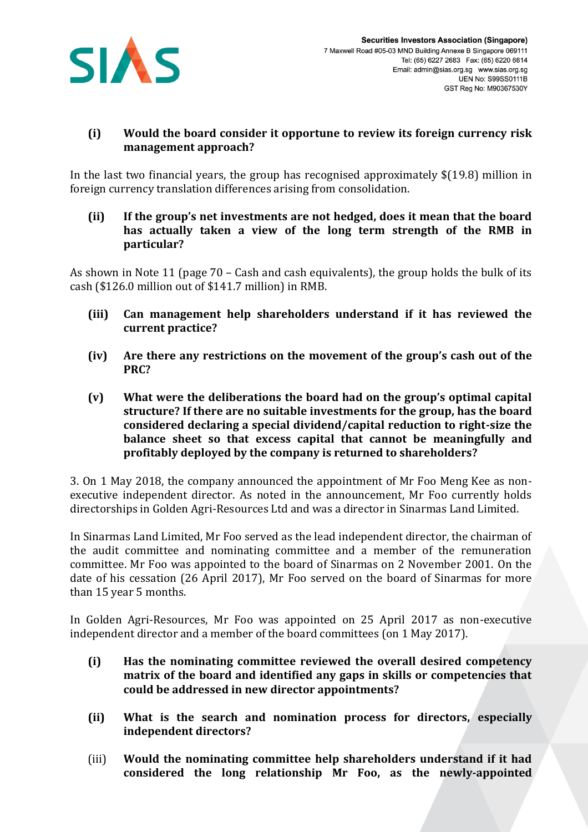

## **(i) Would the board consider it opportune to review its foreign currency risk management approach?**

In the last two financial years, the group has recognised approximately \$(19.8) million in foreign currency translation differences arising from consolidation.

**(ii) If the group's net investments are not hedged, does it mean that the board has actually taken a view of the long term strength of the RMB in particular?** 

As shown in Note 11 (page 70 – Cash and cash equivalents), the group holds the bulk of its cash (\$126.0 million out of \$141.7 million) in RMB.

- **(iii) Can management help shareholders understand if it has reviewed the current practice?**
- **(iv) Are there any restrictions on the movement of the group's cash out of the PRC?**
- **(v) What were the deliberations the board had on the group's optimal capital structure? If there are no suitable investments for the group, has the board considered declaring a special dividend/capital reduction to right-size the balance sheet so that excess capital that cannot be meaningfully and profitably deployed by the company is returned to shareholders?**

3. On 1 May 2018, the company announced the appointment of Mr Foo Meng Kee as nonexecutive independent director. As noted in the announcement, Mr Foo currently holds directorships in Golden Agri-Resources Ltd and was a director in Sinarmas Land Limited.

In Sinarmas Land Limited, Mr Foo served as the lead independent director, the chairman of the audit committee and nominating committee and a member of the remuneration committee. Mr Foo was appointed to the board of Sinarmas on 2 November 2001. On the date of his cessation (26 April 2017), Mr Foo served on the board of Sinarmas for more than 15 year 5 months.

In Golden Agri-Resources, Mr Foo was appointed on 25 April 2017 as non-executive independent director and a member of the board committees (on 1 May 2017).

- **(i) Has the nominating committee reviewed the overall desired competency matrix of the board and identified any gaps in skills or competencies that could be addressed in new director appointments?**
- **(ii) What is the search and nomination process for directors, especially independent directors?**
- (iii) **Would the nominating committee help shareholders understand if it had considered the long relationship Mr Foo, as the newly-appointed**